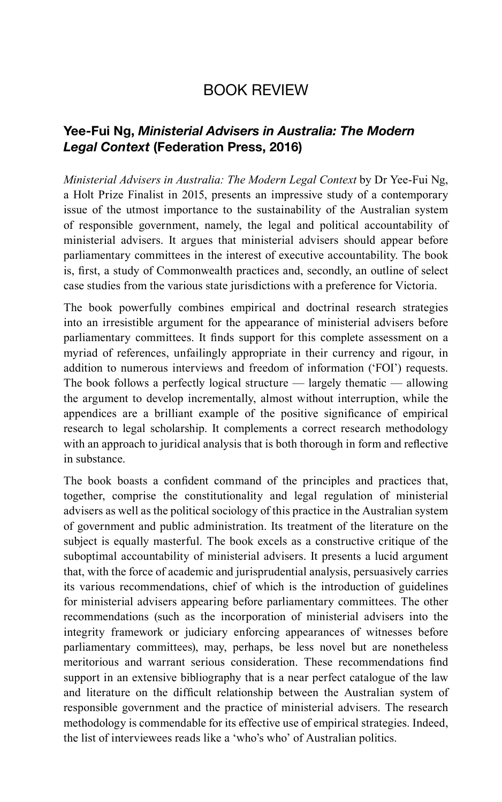# BOOK REVIEW

# **Yee-Fui Ng,** *Ministerial Advisers in Australia: The Modern Legal Context* **(Federation Press, 2016)**

*Ministerial Advisers in Australia: The Modern Legal Context* by Dr Yee-Fui Ng, a Holt Prize Finalist in 2015, presents an impressive study of a contemporary issue of the utmost importance to the sustainability of the Australian system of responsible government, namely, the legal and political accountability of ministerial advisers. It argues that ministerial advisers should appear before parliamentary committees in the interest of executive accountability. The book is, first, a study of Commonwealth practices and, secondly, an outline of select case studies from the various state jurisdictions with a preference for Victoria.

The book powerfully combines empirical and doctrinal research strategies into an irresistible argument for the appearance of ministerial advisers before parliamentary committees. It finds support for this complete assessment on a myriad of references, unfailingly appropriate in their currency and rigour, in addition to numerous interviews and freedom of information ('FOI') requests. The book follows a perfectly logical structure — largely thematic — allowing the argument to develop incrementally, almost without interruption, while the appendices are a brilliant example of the positive significance of empirical research to legal scholarship. It complements a correct research methodology with an approach to juridical analysis that is both thorough in form and reflective in substance.

The book boasts a confident command of the principles and practices that, together, comprise the constitutionality and legal regulation of ministerial advisers as well as the political sociology of this practice in the Australian system of government and public administration. Its treatment of the literature on the subject is equally masterful. The book excels as a constructive critique of the suboptimal accountability of ministerial advisers. It presents a lucid argument that, with the force of academic and jurisprudential analysis, persuasively carries its various recommendations, chief of which is the introduction of guidelines for ministerial advisers appearing before parliamentary committees. The other recommendations (such as the incorporation of ministerial advisers into the integrity framework or judiciary enforcing appearances of witnesses before parliamentary committees), may, perhaps, be less novel but are nonetheless meritorious and warrant serious consideration. These recommendations find support in an extensive bibliography that is a near perfect catalogue of the law and literature on the difficult relationship between the Australian system of responsible government and the practice of ministerial advisers. The research methodology is commendable for its effective use of empirical strategies. Indeed, the list of interviewees reads like a 'who's who' of Australian politics.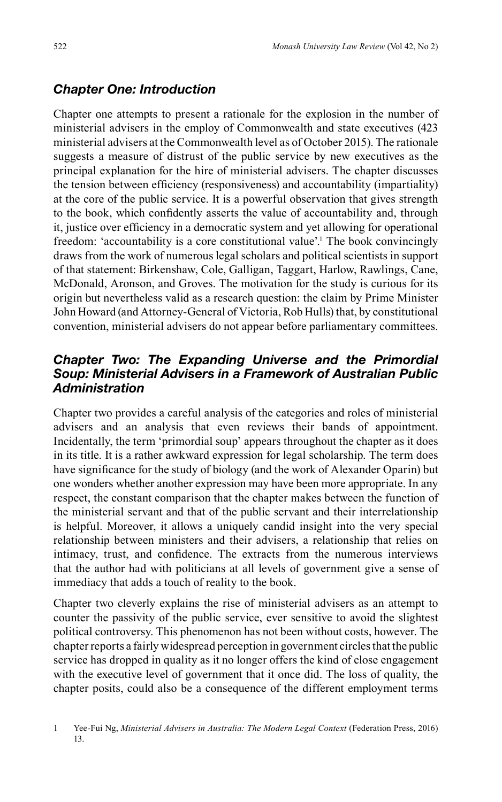#### *Chapter One: Introduction*

Chapter one attempts to present a rationale for the explosion in the number of ministerial advisers in the employ of Commonwealth and state executives (423 ministerial advisers at the Commonwealth level as of October 2015). The rationale suggests a measure of distrust of the public service by new executives as the principal explanation for the hire of ministerial advisers. The chapter discusses the tension between efficiency (responsiveness) and accountability (impartiality) at the core of the public service. It is a powerful observation that gives strength to the book, which confidently asserts the value of accountability and, through it, justice over efficiency in a democratic system and yet allowing for operational freedom: 'accountability is a core constitutional value'.<sup>1</sup> The book convincingly draws from the work of numerous legal scholars and political scientists in support of that statement: Birkenshaw, Cole, Galligan, Taggart, Harlow, Rawlings, Cane, McDonald, Aronson, and Groves. The motivation for the study is curious for its origin but nevertheless valid as a research question: the claim by Prime Minister John Howard (and Attorney-General of Victoria, Rob Hulls) that, by constitutional convention, ministerial advisers do not appear before parliamentary committees.

### *Chapter Two: The Expanding Universe and the Primordial Soup: Ministerial Advisers in a Framework of Australian Public Administration*

Chapter two provides a careful analysis of the categories and roles of ministerial advisers and an analysis that even reviews their bands of appointment. Incidentally, the term 'primordial soup' appears throughout the chapter as it does in its title. It is a rather awkward expression for legal scholarship. The term does have significance for the study of biology (and the work of Alexander Oparin) but one wonders whether another expression may have been more appropriate. In any respect, the constant comparison that the chapter makes between the function of the ministerial servant and that of the public servant and their interrelationship is helpful. Moreover, it allows a uniquely candid insight into the very special relationship between ministers and their advisers, a relationship that relies on intimacy, trust, and confidence. The extracts from the numerous interviews that the author had with politicians at all levels of government give a sense of immediacy that adds a touch of reality to the book.

Chapter two cleverly explains the rise of ministerial advisers as an attempt to counter the passivity of the public service, ever sensitive to avoid the slightest political controversy. This phenomenon has not been without costs, however. The chapter reports a fairly widespread perception in government circles that the public service has dropped in quality as it no longer offers the kind of close engagement with the executive level of government that it once did. The loss of quality, the chapter posits, could also be a consequence of the different employment terms

1 Yee-Fui Ng, *Ministerial Advisers in Australia: The Modern Legal Context* (Federation Press, 2016) 13.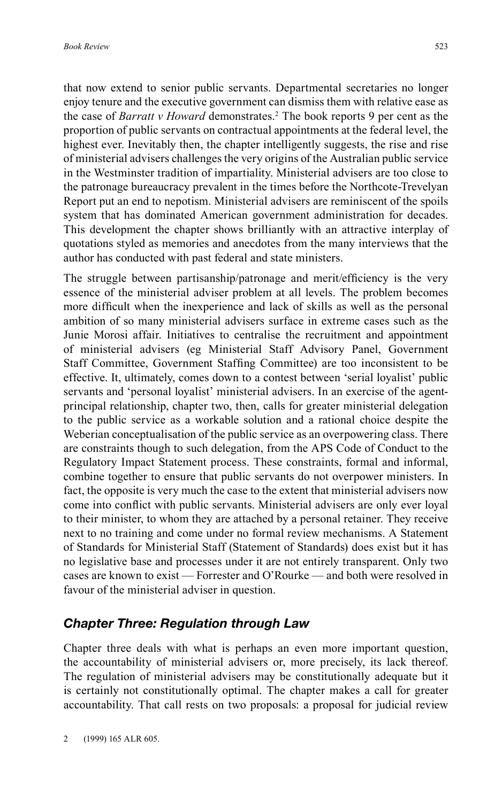that now extend to senior public servants. Departmental secretaries no longer enjoy tenure and the executive government can dismiss them with relative ease as the case of *Barratt v Howard* demonstrates.<sup>2</sup> The book reports 9 per cent as the proportion of public servants on contractual appointments at the federal level, the highest ever. Inevitably then, the chapter intelligently suggests, the rise and rise of ministerial advisers challenges the very origins of the Australian public service in the Westminster tradition of impartiality. Ministerial advisers are too close to the patronage bureaucracy prevalent in the times before the Northcote-Trevelyan Report put an end to nepotism. Ministerial advisers are reminiscent of the spoils system that has dominated American government administration for decades. This development the chapter shows brilliantly with an attractive interplay of quotations styled as memories and anecdotes from the many interviews that the author has conducted with past federal and state ministers.

The struggle between partisanship/patronage and merit/efficiency is the very essence of the ministerial adviser problem at all levels. The problem becomes more difficult when the inexperience and lack of skills as well as the personal ambition of so many ministerial advisers surface in extreme cases such as the Junie Morosi affair. Initiatives to centralise the recruitment and appointment of ministerial advisers (eg Ministerial Staff Advisory Panel, Government Staff Committee, Government Staffing Committee) are too inconsistent to be effective. It, ultimately, comes down to a contest between 'serial loyalist' public servants and 'personal loyalist' ministerial advisers. In an exercise of the agentprincipal relationship, chapter two, then, calls for greater ministerial delegation to the public service as a workable solution and a rational choice despite the Weberian conceptualisation of the public service as an overpowering class. There are constraints though to such delegation, from the APS Code of Conduct to the Regulatory Impact Statement process. These constraints, formal and informal, combine together to ensure that public servants do not overpower ministers. In fact, the opposite is very much the case to the extent that ministerial advisers now come into conflict with public servants. Ministerial advisers are only ever loyal to their minister, to whom they are attached by a personal retainer. They receive next to no training and come under no formal review mechanisms. A Statement of Standards for Ministerial Staff (Statement of Standards) does exist but it has no legislative base and processes under it are not entirely transparent. Only two cases are known to exist — Forrester and O'Rourke — and both were resolved in favour of the ministerial adviser in question.

#### *Chapter Three: Regulation through Law*

Chapter three deals with what is perhaps an even more important question, the accountability of ministerial advisers or, more precisely, its lack thereof. The regulation of ministerial advisers may be constitutionally adequate but it is certainly not constitutionally optimal. The chapter makes a call for greater accountability. That call rests on two proposals: a proposal for judicial review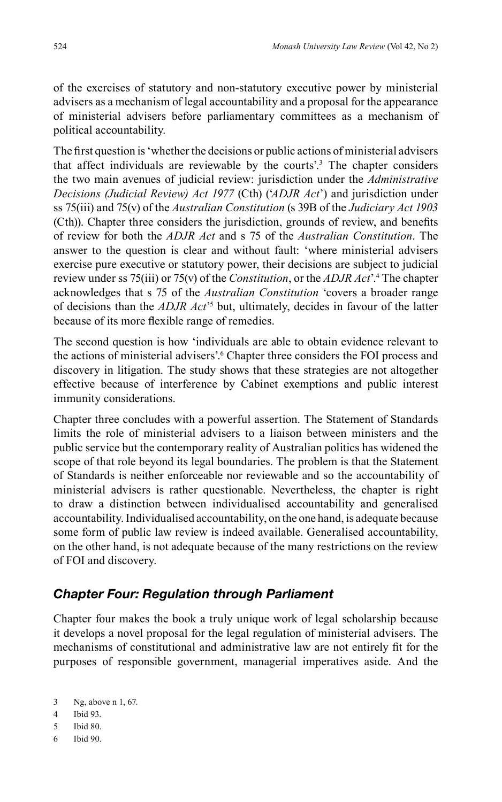of the exercises of statutory and non-statutory executive power by ministerial advisers as a mechanism of legal accountability and a proposal for the appearance of ministerial advisers before parliamentary committees as a mechanism of political accountability.

The first question is 'whether the decisions or public actions of ministerial advisers that affect individuals are reviewable by the courts'.3 The chapter considers the two main avenues of judicial review: jurisdiction under the *Administrative Decisions (Judicial Review) Act 1977* (Cth) ('*ADJR Act*') and jurisdiction under ss 75(iii) and 75(v) of the *Australian Constitution* (s 39B of the *Judiciary Act 1903* (Cth)). Chapter three considers the jurisdiction, grounds of review, and benefits of review for both the *ADJR Act* and s 75 of the *Australian Constitution*. The answer to the question is clear and without fault: 'where ministerial advisers exercise pure executive or statutory power, their decisions are subject to judicial review under ss 75(iii) or 75(v) of the *Constitution*, or the *ADJR Act*'.4 The chapter acknowledges that s 75 of the *Australian Constitution* 'covers a broader range of decisions than the *ADJR Act*' 5 but, ultimately, decides in favour of the latter because of its more flexible range of remedies.

The second question is how 'individuals are able to obtain evidence relevant to the actions of ministerial advisers'.6 Chapter three considers the FOI process and discovery in litigation. The study shows that these strategies are not altogether effective because of interference by Cabinet exemptions and public interest immunity considerations.

Chapter three concludes with a powerful assertion. The Statement of Standards limits the role of ministerial advisers to a liaison between ministers and the public service but the contemporary reality of Australian politics has widened the scope of that role beyond its legal boundaries. The problem is that the Statement of Standards is neither enforceable nor reviewable and so the accountability of ministerial advisers is rather questionable. Nevertheless, the chapter is right to draw a distinction between individualised accountability and generalised accountability. Individualised accountability, on the one hand, is adequate because some form of public law review is indeed available. Generalised accountability, on the other hand, is not adequate because of the many restrictions on the review of FOI and discovery.

## *Chapter Four: Regulation through Parliament*

Chapter four makes the book a truly unique work of legal scholarship because it develops a novel proposal for the legal regulation of ministerial advisers. The mechanisms of constitutional and administrative law are not entirely fit for the purposes of responsible government, managerial imperatives aside. And the

- 4 Ibid 93.
- 5 Ibid 80.
- 6 Ibid 90.

<sup>3</sup> Ng, above n 1, 67.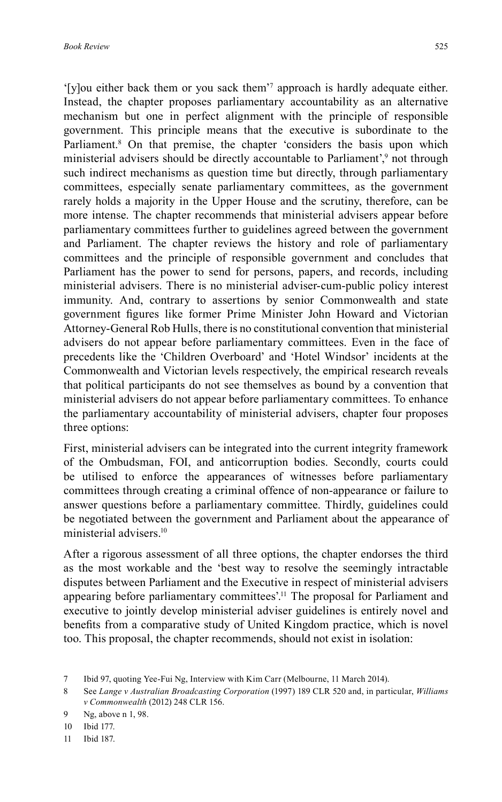'[y]ou either back them or you sack them'<sup>7</sup> approach is hardly adequate either. Instead, the chapter proposes parliamentary accountability as an alternative mechanism but one in perfect alignment with the principle of responsible government. This principle means that the executive is subordinate to the Parliament.<sup>8</sup> On that premise, the chapter 'considers the basis upon which ministerial advisers should be directly accountable to Parliament',<sup>9</sup> not through such indirect mechanisms as question time but directly, through parliamentary committees, especially senate parliamentary committees, as the government rarely holds a majority in the Upper House and the scrutiny, therefore, can be more intense. The chapter recommends that ministerial advisers appear before parliamentary committees further to guidelines agreed between the government and Parliament. The chapter reviews the history and role of parliamentary committees and the principle of responsible government and concludes that Parliament has the power to send for persons, papers, and records, including ministerial advisers. There is no ministerial adviser-cum-public policy interest immunity. And, contrary to assertions by senior Commonwealth and state government figures like former Prime Minister John Howard and Victorian Attorney-General Rob Hulls, there is no constitutional convention that ministerial advisers do not appear before parliamentary committees. Even in the face of precedents like the 'Children Overboard' and 'Hotel Windsor' incidents at the Commonwealth and Victorian levels respectively, the empirical research reveals that political participants do not see themselves as bound by a convention that ministerial advisers do not appear before parliamentary committees. To enhance the parliamentary accountability of ministerial advisers, chapter four proposes three options:

First, ministerial advisers can be integrated into the current integrity framework of the Ombudsman, FOI, and anticorruption bodies. Secondly, courts could be utilised to enforce the appearances of witnesses before parliamentary committees through creating a criminal offence of non-appearance or failure to answer questions before a parliamentary committee. Thirdly, guidelines could be negotiated between the government and Parliament about the appearance of ministerial advisers $10$ 

After a rigorous assessment of all three options, the chapter endorses the third as the most workable and the 'best way to resolve the seemingly intractable disputes between Parliament and the Executive in respect of ministerial advisers appearing before parliamentary committees'.<sup>11</sup> The proposal for Parliament and executive to jointly develop ministerial adviser guidelines is entirely novel and benefits from a comparative study of United Kingdom practice, which is novel too. This proposal, the chapter recommends, should not exist in isolation:

<sup>7</sup> Ibid 97, quoting Yee-Fui Ng, Interview with Kim Carr (Melbourne, 11 March 2014).

<sup>8</sup> See *Lange v Australian Broadcasting Corporation* (1997) 189 CLR 520 and, in particular, *Williams v Commonwealth* (2012) 248 CLR 156.

<sup>9</sup> Ng, above n 1, 98.

<sup>10</sup> Ibid 177.

<sup>11</sup> Ibid 187.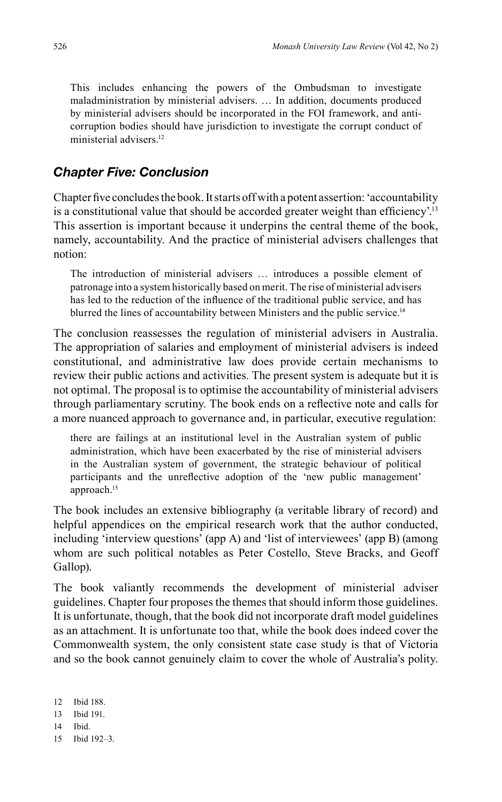This includes enhancing the powers of the Ombudsman to investigate maladministration by ministerial advisers. … In addition, documents produced by ministerial advisers should be incorporated in the FOI framework, and anticorruption bodies should have jurisdiction to investigate the corrupt conduct of ministerial advisers<sup>12</sup>

#### *Chapter Five: Conclusion*

Chapter five concludes the book. It starts off with a potent assertion: 'accountability is a constitutional value that should be accorded greater weight than efficiency'.13 This assertion is important because it underpins the central theme of the book, namely, accountability. And the practice of ministerial advisers challenges that notion:

The introduction of ministerial advisers … introduces a possible element of patronage into a system historically based on merit. The rise of ministerial advisers has led to the reduction of the influence of the traditional public service, and has blurred the lines of accountability between Ministers and the public service.<sup>14</sup>

The conclusion reassesses the regulation of ministerial advisers in Australia. The appropriation of salaries and employment of ministerial advisers is indeed constitutional, and administrative law does provide certain mechanisms to review their public actions and activities. The present system is adequate but it is not optimal. The proposal is to optimise the accountability of ministerial advisers through parliamentary scrutiny. The book ends on a reflective note and calls for a more nuanced approach to governance and, in particular, executive regulation:

there are failings at an institutional level in the Australian system of public administration, which have been exacerbated by the rise of ministerial advisers in the Australian system of government, the strategic behaviour of political participants and the unreflective adoption of the 'new public management' approach.15

The book includes an extensive bibliography (a veritable library of record) and helpful appendices on the empirical research work that the author conducted, including 'interview questions' (app A) and 'list of interviewees' (app B) (among whom are such political notables as Peter Costello, Steve Bracks, and Geoff Gallop).

The book valiantly recommends the development of ministerial adviser guidelines. Chapter four proposes the themes that should inform those guidelines. It is unfortunate, though, that the book did not incorporate draft model guidelines as an attachment. It is unfortunate too that, while the book does indeed cover the Commonwealth system, the only consistent state case study is that of Victoria and so the book cannot genuinely claim to cover the whole of Australia's polity.

14 Ibid.

<sup>12</sup> Ibid 188.

<sup>13</sup> Ibid 191.

<sup>15</sup> Ibid 192–3.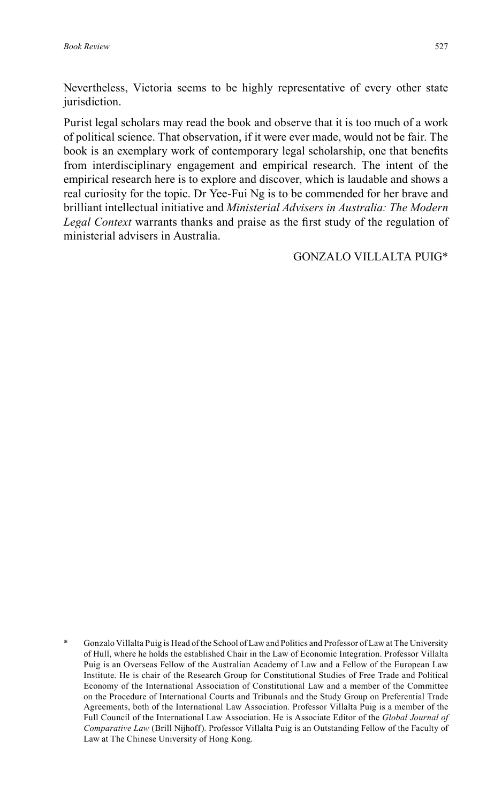Nevertheless, Victoria seems to be highly representative of every other state jurisdiction.

Purist legal scholars may read the book and observe that it is too much of a work of political science. That observation, if it were ever made, would not be fair. The book is an exemplary work of contemporary legal scholarship, one that benefits from interdisciplinary engagement and empirical research. The intent of the empirical research here is to explore and discover, which is laudable and shows a real curiosity for the topic. Dr Yee-Fui Ng is to be commended for her brave and brilliant intellectual initiative and *Ministerial Advisers in Australia: The Modern Legal Context* warrants thanks and praise as the first study of the regulation of ministerial advisers in Australia.

#### GONZALO VILLALTA PUIG\*

<sup>\*</sup> Gonzalo Villalta Puig is Head of the School of Law and Politics and Professor of Law at The University of Hull, where he holds the established Chair in the Law of Economic Integration. Professor Villalta Puig is an Overseas Fellow of the Australian Academy of Law and a Fellow of the European Law Institute. He is chair of the Research Group for Constitutional Studies of Free Trade and Political Economy of the International Association of Constitutional Law and a member of the Committee on the Procedure of International Courts and Tribunals and the Study Group on Preferential Trade Agreements, both of the International Law Association. Professor Villalta Puig is a member of the Full Council of the International Law Association. He is Associate Editor of the *Global Journal of Comparative Law* (Brill Nijhoff). Professor Villalta Puig is an Outstanding Fellow of the Faculty of Law at The Chinese University of Hong Kong.